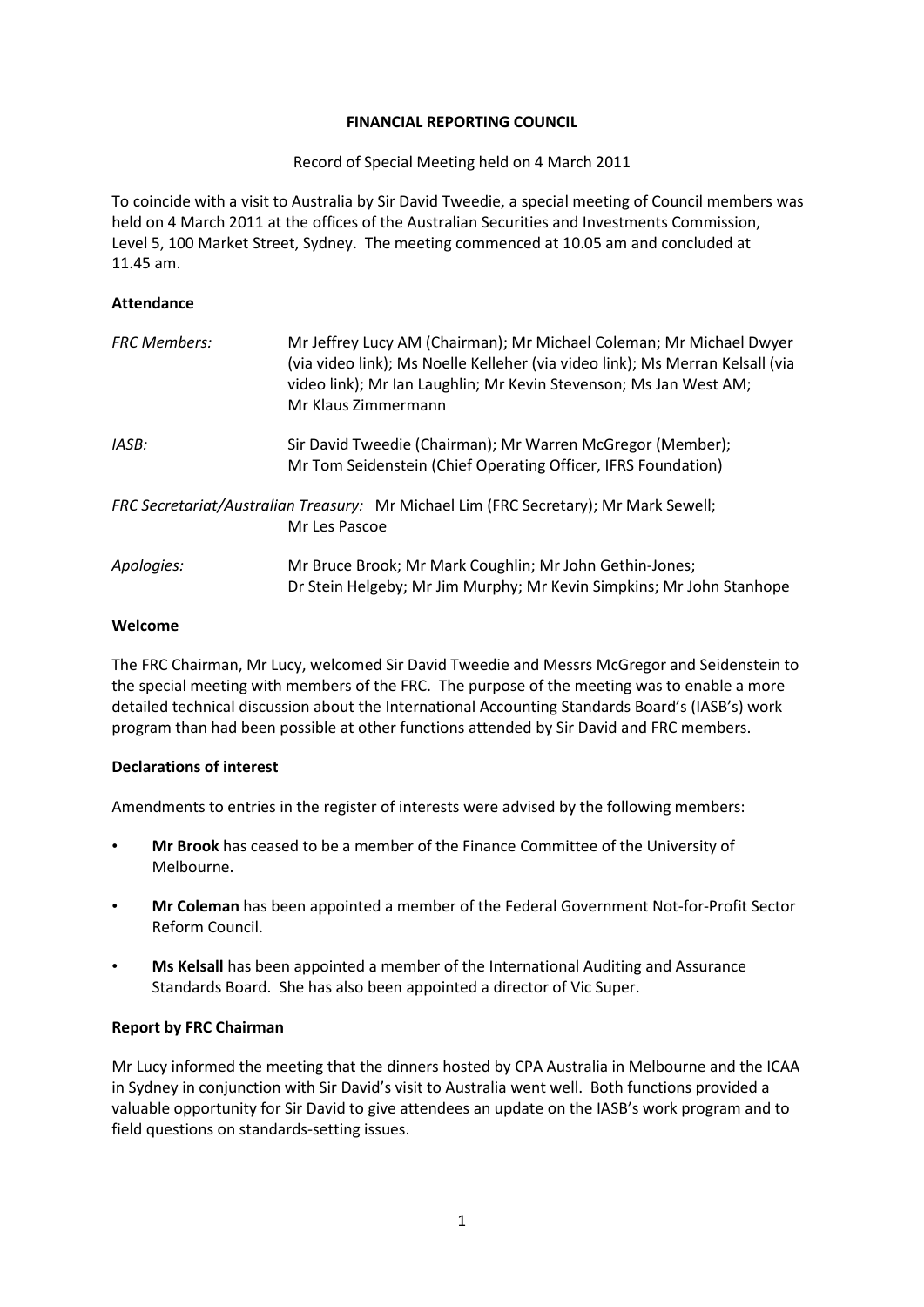### **FINANCIAL REPORTING COUNCIL**

Record of Special Meeting held on 4 March 2011

To coincide with a visit to Australia by Sir David Tweedie, a special meeting of Council members was held on 4 March 2011 at the offices of the Australian Securities and Investments Commission, Level 5, 100 Market Street, Sydney. The meeting commenced at 10.05 am and concluded at 11.45 am.

## **Attendance**

| <b>FRC Members:</b>                                                                                   | Mr Jeffrey Lucy AM (Chairman); Mr Michael Coleman; Mr Michael Dwyer<br>(via video link); Ms Noelle Kelleher (via video link); Ms Merran Kelsall (via<br>video link); Mr Ian Laughlin; Mr Kevin Stevenson; Ms Jan West AM;<br>Mr Klaus Zimmermann |
|-------------------------------------------------------------------------------------------------------|--------------------------------------------------------------------------------------------------------------------------------------------------------------------------------------------------------------------------------------------------|
| IASB:                                                                                                 | Sir David Tweedie (Chairman); Mr Warren McGregor (Member);<br>Mr Tom Seidenstein (Chief Operating Officer, IFRS Foundation)                                                                                                                      |
| FRC Secretariat/Australian Treasury: Mr Michael Lim (FRC Secretary); Mr Mark Sewell;<br>Mr Les Pascoe |                                                                                                                                                                                                                                                  |
| Apologies:                                                                                            | Mr Bruce Brook; Mr Mark Coughlin; Mr John Gethin-Jones;<br>Dr Stein Helgeby; Mr Jim Murphy; Mr Kevin Simpkins; Mr John Stanhope                                                                                                                  |

## **Welcome**

The FRC Chairman, Mr Lucy, welcomed Sir David Tweedie and Messrs McGregor and Seidenstein to the special meeting with members of the FRC. The purpose of the meeting was to enable a more detailed technical discussion about the International Accounting Standards Board's (IASB's) work program than had been possible at other functions attended by Sir David and FRC members.

# **Declarations of interest**

Amendments to entries in the register of interests were advised by the following members:

- **Mr Brook** has ceased to be a member of the Finance Committee of the University of Melbourne.
- **Mr Coleman** has been appointed a member of the Federal Government Not-for-Profit Sector Reform Council.
- **Ms Kelsall** has been appointed a member of the International Auditing and Assurance Standards Board. She has also been appointed a director of Vic Super.

# **Report by FRC Chairman**

Mr Lucy informed the meeting that the dinners hosted by CPA Australia in Melbourne and the ICAA in Sydney in conjunction with Sir David's visit to Australia went well. Both functions provided a valuable opportunity for Sir David to give attendees an update on the IASB's work program and to field questions on standards-setting issues.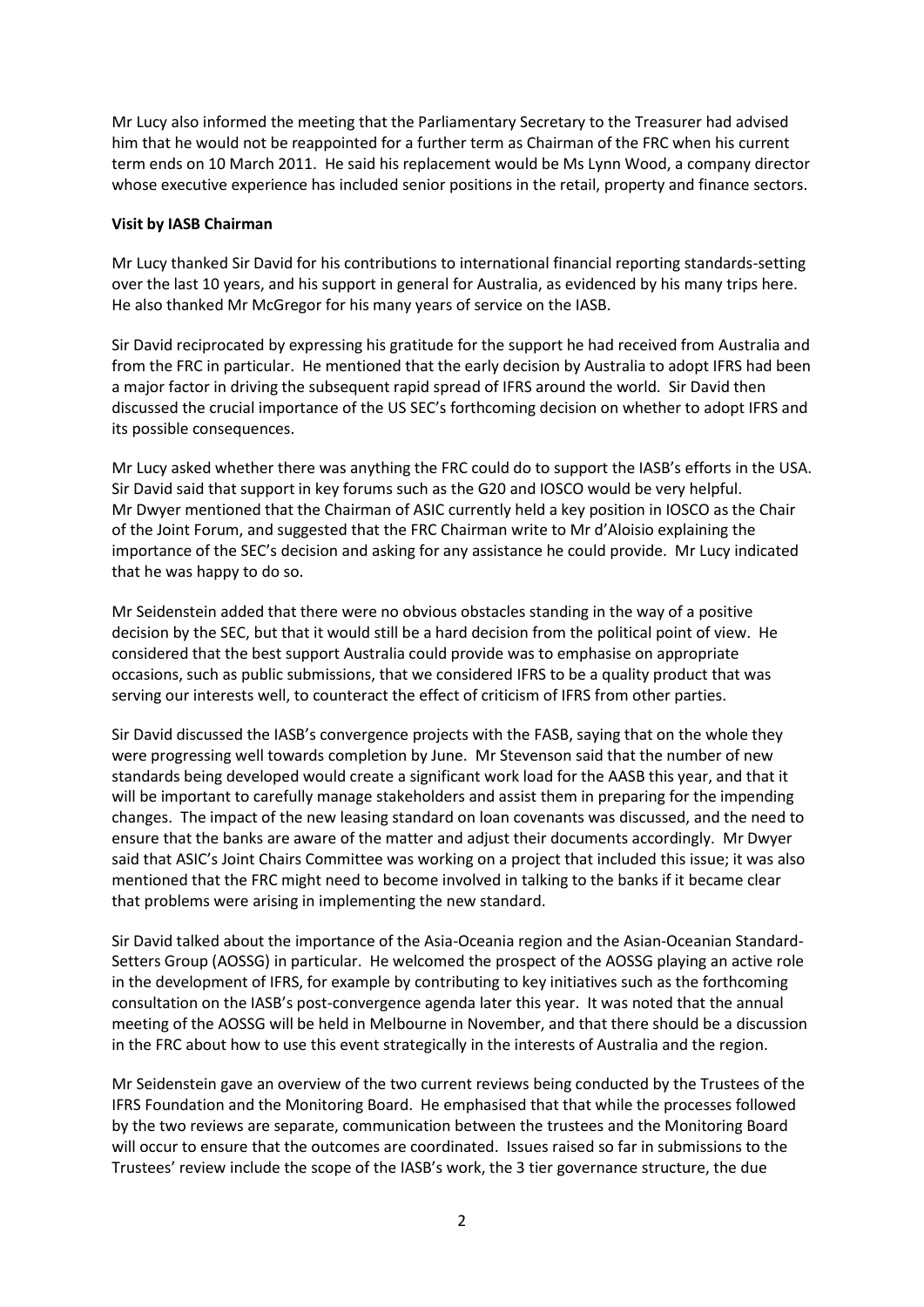Mr Lucy also informed the meeting that the Parliamentary Secretary to the Treasurer had advised him that he would not be reappointed for a further term as Chairman of the FRC when his current term ends on 10 March 2011. He said his replacement would be Ms Lynn Wood, a company director whose executive experience has included senior positions in the retail, property and finance sectors.

#### **Visit by IASB Chairman**

Mr Lucy thanked Sir David for his contributions to international financial reporting standards-setting over the last 10 years, and his support in general for Australia, as evidenced by his many trips here. He also thanked Mr McGregor for his many years of service on the IASB.

Sir David reciprocated by expressing his gratitude for the support he had received from Australia and from the FRC in particular. He mentioned that the early decision by Australia to adopt IFRS had been a major factor in driving the subsequent rapid spread of IFRS around the world. Sir David then discussed the crucial importance of the US SEC's forthcoming decision on whether to adopt IFRS and its possible consequences.

Mr Lucy asked whether there was anything the FRC could do to support the IASB's efforts in the USA. Sir David said that support in key forums such as the G20 and IOSCO would be very helpful. Mr Dwyer mentioned that the Chairman of ASIC currently held a key position in IOSCO as the Chair of the Joint Forum, and suggested that the FRC Chairman write to Mr d'Aloisio explaining the importance of the SEC's decision and asking for any assistance he could provide. Mr Lucy indicated that he was happy to do so.

Mr Seidenstein added that there were no obvious obstacles standing in the way of a positive decision by the SEC, but that it would still be a hard decision from the political point of view. He considered that the best support Australia could provide was to emphasise on appropriate occasions, such as public submissions, that we considered IFRS to be a quality product that was serving our interests well, to counteract the effect of criticism of IFRS from other parties.

Sir David discussed the IASB's convergence projects with the FASB, saying that on the whole they were progressing well towards completion by June. Mr Stevenson said that the number of new standards being developed would create a significant work load for the AASB this year, and that it will be important to carefully manage stakeholders and assist them in preparing for the impending changes. The impact of the new leasing standard on loan covenants was discussed, and the need to ensure that the banks are aware of the matter and adjust their documents accordingly. Mr Dwyer said that ASIC's Joint Chairs Committee was working on a project that included this issue; it was also mentioned that the FRC might need to become involved in talking to the banks if it became clear that problems were arising in implementing the new standard.

Sir David talked about the importance of the Asia-Oceania region and the Asian-Oceanian Standard-Setters Group (AOSSG) in particular. He welcomed the prospect of the AOSSG playing an active role in the development of IFRS, for example by contributing to key initiatives such as the forthcoming consultation on the IASB's post-convergence agenda later this year. It was noted that the annual meeting of the AOSSG will be held in Melbourne in November, and that there should be a discussion in the FRC about how to use this event strategically in the interests of Australia and the region.

Mr Seidenstein gave an overview of the two current reviews being conducted by the Trustees of the IFRS Foundation and the Monitoring Board. He emphasised that that while the processes followed by the two reviews are separate, communication between the trustees and the Monitoring Board will occur to ensure that the outcomes are coordinated. Issues raised so far in submissions to the Trustees' review include the scope of the IASB's work, the 3 tier governance structure, the due